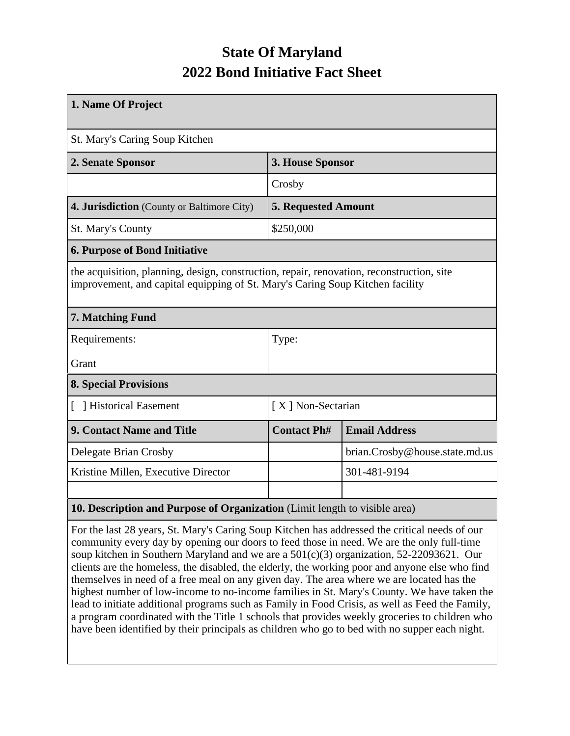## **State Of Maryland 2022 Bond Initiative Fact Sheet**

| 1. Name Of Project                                                                                                                                                         |                            |                                |  |  |  |
|----------------------------------------------------------------------------------------------------------------------------------------------------------------------------|----------------------------|--------------------------------|--|--|--|
| St. Mary's Caring Soup Kitchen                                                                                                                                             |                            |                                |  |  |  |
| 2. Senate Sponsor                                                                                                                                                          | 3. House Sponsor           |                                |  |  |  |
|                                                                                                                                                                            | Crosby                     |                                |  |  |  |
| 4. Jurisdiction (County or Baltimore City)                                                                                                                                 | <b>5. Requested Amount</b> |                                |  |  |  |
| <b>St. Mary's County</b>                                                                                                                                                   | \$250,000                  |                                |  |  |  |
| <b>6. Purpose of Bond Initiative</b>                                                                                                                                       |                            |                                |  |  |  |
| the acquisition, planning, design, construction, repair, renovation, reconstruction, site<br>improvement, and capital equipping of St. Mary's Caring Soup Kitchen facility |                            |                                |  |  |  |
| 7. Matching Fund                                                                                                                                                           |                            |                                |  |  |  |
| Requirements:                                                                                                                                                              | Type:                      |                                |  |  |  |
| Grant                                                                                                                                                                      |                            |                                |  |  |  |
| <b>8. Special Provisions</b>                                                                                                                                               |                            |                                |  |  |  |
| Historical Easement                                                                                                                                                        | [X] Non-Sectarian          |                                |  |  |  |
| 9. Contact Name and Title                                                                                                                                                  | <b>Contact Ph#</b>         | <b>Email Address</b>           |  |  |  |
| Delegate Brian Crosby                                                                                                                                                      |                            | brian.Crosby@house.state.md.us |  |  |  |
| Kristine Millen, Executive Director                                                                                                                                        |                            | 301-481-9194                   |  |  |  |
|                                                                                                                                                                            |                            |                                |  |  |  |
| 10. Description and Purpose of Organization (Limit length to visible area)                                                                                                 |                            |                                |  |  |  |

For the last 28 years, St. Mary's Caring Soup Kitchen has addressed the critical needs of our community every day by opening our doors to feed those in need. We are the only full-time soup kitchen in Southern Maryland and we are a 501(c)(3) organization, 52-22093621. Our clients are the homeless, the disabled, the elderly, the working poor and anyone else who find themselves in need of a free meal on any given day. The area where we are located has the highest number of low-income to no-income families in St. Mary's County. We have taken the lead to initiate additional programs such as Family in Food Crisis, as well as Feed the Family, a program coordinated with the Title 1 schools that provides weekly groceries to children who have been identified by their principals as children who go to bed with no supper each night.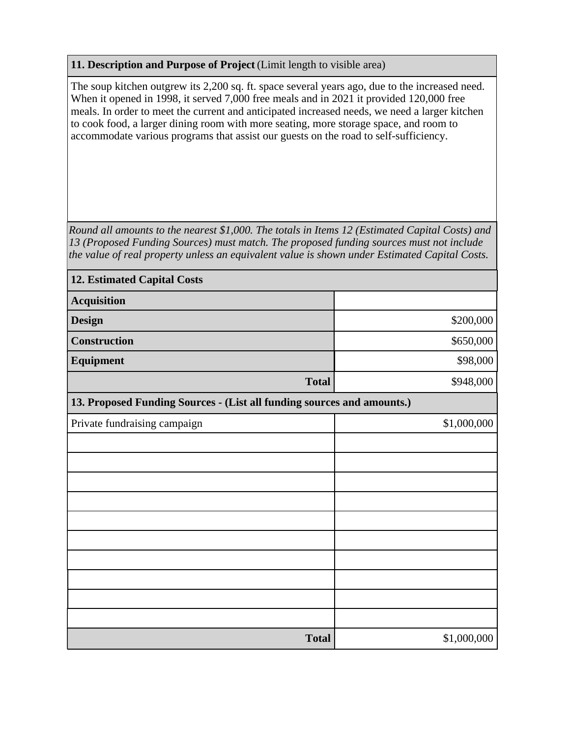## **11. Description and Purpose of Project** (Limit length to visible area)

The soup kitchen outgrew its 2,200 sq. ft. space several years ago, due to the increased need. When it opened in 1998, it served 7,000 free meals and in 2021 it provided 120,000 free meals. In order to meet the current and anticipated increased needs, we need a larger kitchen to cook food, a larger dining room with more seating, more storage space, and room to accommodate various programs that assist our guests on the road to self-sufficiency.

*Round all amounts to the nearest \$1,000. The totals in Items 12 (Estimated Capital Costs) and 13 (Proposed Funding Sources) must match. The proposed funding sources must not include the value of real property unless an equivalent value is shown under Estimated Capital Costs.*

| <b>12. Estimated Capital Costs</b>                                     |             |  |  |  |
|------------------------------------------------------------------------|-------------|--|--|--|
| <b>Acquisition</b>                                                     |             |  |  |  |
| <b>Design</b>                                                          | \$200,000   |  |  |  |
| <b>Construction</b>                                                    | \$650,000   |  |  |  |
| <b>Equipment</b>                                                       | \$98,000    |  |  |  |
| <b>Total</b>                                                           | \$948,000   |  |  |  |
| 13. Proposed Funding Sources - (List all funding sources and amounts.) |             |  |  |  |
| Private fundraising campaign                                           | \$1,000,000 |  |  |  |
|                                                                        |             |  |  |  |
|                                                                        |             |  |  |  |
|                                                                        |             |  |  |  |
|                                                                        |             |  |  |  |
|                                                                        |             |  |  |  |
|                                                                        |             |  |  |  |
|                                                                        |             |  |  |  |
|                                                                        |             |  |  |  |
|                                                                        |             |  |  |  |
|                                                                        |             |  |  |  |
| <b>Total</b>                                                           | \$1,000,000 |  |  |  |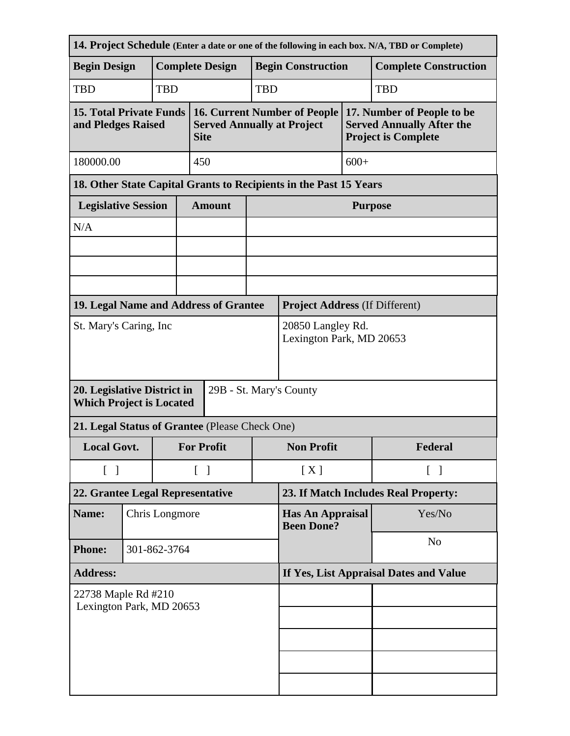| 14. Project Schedule (Enter a date or one of the following in each box. N/A, TBD or Complete) |                                                                   |                                        |                                               |                                                                                         |                |                                              |                                                                                              |                              |  |
|-----------------------------------------------------------------------------------------------|-------------------------------------------------------------------|----------------------------------------|-----------------------------------------------|-----------------------------------------------------------------------------------------|----------------|----------------------------------------------|----------------------------------------------------------------------------------------------|------------------------------|--|
| <b>Begin Design</b>                                                                           |                                                                   |                                        | <b>Complete Design</b>                        |                                                                                         |                | <b>Begin Construction</b>                    |                                                                                              | <b>Complete Construction</b> |  |
| <b>TBD</b>                                                                                    |                                                                   | <b>TBD</b>                             | <b>TBD</b>                                    |                                                                                         |                |                                              |                                                                                              | <b>TBD</b>                   |  |
| <b>15. Total Private Funds</b><br>and Pledges Raised                                          |                                                                   |                                        |                                               | <b>16. Current Number of People</b><br><b>Served Annually at Project</b><br><b>Site</b> |                |                                              | 17. Number of People to be<br><b>Served Annually After the</b><br><b>Project is Complete</b> |                              |  |
| 180000.00                                                                                     | 450                                                               |                                        |                                               |                                                                                         |                | $600+$                                       |                                                                                              |                              |  |
|                                                                                               | 18. Other State Capital Grants to Recipients in the Past 15 Years |                                        |                                               |                                                                                         |                |                                              |                                                                                              |                              |  |
| <b>Legislative Session</b>                                                                    |                                                                   |                                        |                                               | <b>Amount</b>                                                                           |                | <b>Purpose</b>                               |                                                                                              |                              |  |
| N/A                                                                                           |                                                                   |                                        |                                               |                                                                                         |                |                                              |                                                                                              |                              |  |
|                                                                                               |                                                                   |                                        |                                               |                                                                                         |                |                                              |                                                                                              |                              |  |
|                                                                                               |                                                                   |                                        |                                               |                                                                                         |                |                                              |                                                                                              |                              |  |
| 19. Legal Name and Address of Grantee                                                         |                                                                   |                                        |                                               |                                                                                         |                | <b>Project Address (If Different)</b>        |                                                                                              |                              |  |
| St. Mary's Caring, Inc.                                                                       |                                                                   |                                        | 20850 Langley Rd.<br>Lexington Park, MD 20653 |                                                                                         |                |                                              |                                                                                              |                              |  |
| 20. Legislative District in<br>29B - St. Mary's County<br><b>Which Project is Located</b>     |                                                                   |                                        |                                               |                                                                                         |                |                                              |                                                                                              |                              |  |
| 21. Legal Status of Grantee (Please Check One)                                                |                                                                   |                                        |                                               |                                                                                         |                |                                              |                                                                                              |                              |  |
| <b>Local Govt.</b><br><b>For Profit</b>                                                       |                                                                   |                                        | <b>Non Profit</b>                             |                                                                                         | Federal        |                                              |                                                                                              |                              |  |
| $\begin{bmatrix} 1 \end{bmatrix}$                                                             | $\begin{bmatrix} 1 \end{bmatrix}$                                 |                                        |                                               | [X]<br>$\lceil \ \rceil$                                                                |                |                                              |                                                                                              |                              |  |
| 22. Grantee Legal Representative                                                              |                                                                   |                                        | 23. If Match Includes Real Property:          |                                                                                         |                |                                              |                                                                                              |                              |  |
| Name:                                                                                         |                                                                   |                                        | Chris Longmore                                |                                                                                         |                | <b>Has An Appraisal</b><br><b>Been Done?</b> |                                                                                              | Yes/No                       |  |
| <b>Phone:</b>                                                                                 | 301-862-3764                                                      |                                        |                                               |                                                                                         | N <sub>o</sub> |                                              |                                                                                              |                              |  |
| <b>Address:</b>                                                                               |                                                                   | If Yes, List Appraisal Dates and Value |                                               |                                                                                         |                |                                              |                                                                                              |                              |  |
| 22738 Maple Rd #210<br>Lexington Park, MD 20653                                               |                                                                   |                                        |                                               |                                                                                         |                |                                              |                                                                                              |                              |  |
|                                                                                               |                                                                   |                                        |                                               |                                                                                         |                |                                              |                                                                                              |                              |  |
|                                                                                               |                                                                   |                                        |                                               |                                                                                         |                |                                              |                                                                                              |                              |  |
|                                                                                               |                                                                   |                                        |                                               |                                                                                         |                |                                              |                                                                                              |                              |  |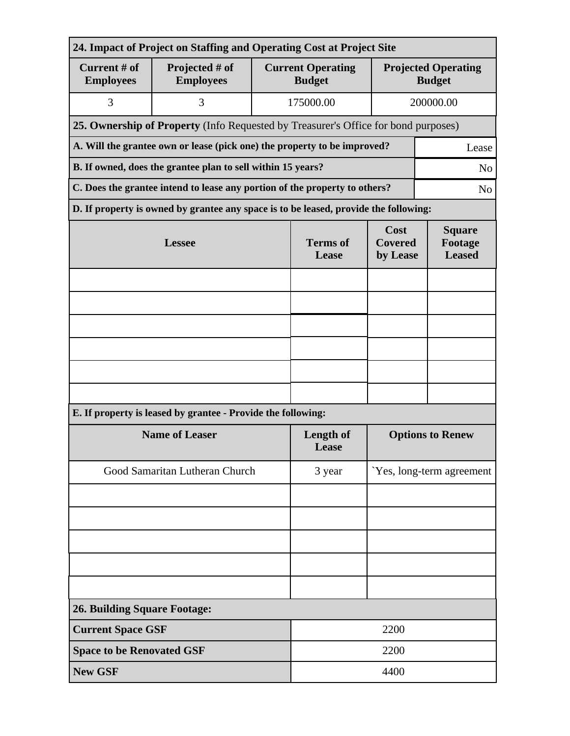| 24. Impact of Project on Staffing and Operating Cost at Project Site          |                                                                                              |                                           |                                                                                 |                                             |           |  |  |
|-------------------------------------------------------------------------------|----------------------------------------------------------------------------------------------|-------------------------------------------|---------------------------------------------------------------------------------|---------------------------------------------|-----------|--|--|
| Current # of<br><b>Employees</b>                                              | Projected # of<br><b>Employees</b>                                                           | <b>Current Operating</b><br><b>Budget</b> |                                                                                 | <b>Projected Operating</b><br><b>Budget</b> |           |  |  |
| 3                                                                             | 3                                                                                            |                                           | 175000.00                                                                       |                                             | 200000.00 |  |  |
|                                                                               | 25. Ownership of Property (Info Requested by Treasurer's Office for bond purposes)           |                                           |                                                                                 |                                             |           |  |  |
|                                                                               | A. Will the grantee own or lease (pick one) the property to be improved?<br>Lease            |                                           |                                                                                 |                                             |           |  |  |
| B. If owned, does the grantee plan to sell within 15 years?<br>N <sub>o</sub> |                                                                                              |                                           |                                                                                 |                                             |           |  |  |
|                                                                               | C. Does the grantee intend to lease any portion of the property to others?<br>N <sub>o</sub> |                                           |                                                                                 |                                             |           |  |  |
|                                                                               | D. If property is owned by grantee any space is to be leased, provide the following:         |                                           |                                                                                 |                                             |           |  |  |
|                                                                               | <b>Lessee</b>                                                                                | <b>Terms of</b><br>Lease                  | Cost<br><b>Square</b><br><b>Covered</b><br>Footage<br><b>Leased</b><br>by Lease |                                             |           |  |  |
|                                                                               |                                                                                              |                                           |                                                                                 |                                             |           |  |  |
|                                                                               |                                                                                              |                                           |                                                                                 |                                             |           |  |  |
|                                                                               |                                                                                              |                                           |                                                                                 |                                             |           |  |  |
|                                                                               |                                                                                              |                                           |                                                                                 |                                             |           |  |  |
|                                                                               |                                                                                              |                                           |                                                                                 |                                             |           |  |  |
|                                                                               |                                                                                              |                                           |                                                                                 |                                             |           |  |  |
| E. If property is leased by grantee - Provide the following:                  |                                                                                              |                                           |                                                                                 |                                             |           |  |  |
| <b>Name of Leaser</b>                                                         |                                                                                              |                                           | Length of<br>Lease                                                              | <b>Options to Renew</b>                     |           |  |  |
| Good Samaritan Lutheran Church                                                |                                                                                              |                                           | 3 year                                                                          | Yes, long-term agreement                    |           |  |  |
|                                                                               |                                                                                              |                                           |                                                                                 |                                             |           |  |  |
|                                                                               |                                                                                              |                                           |                                                                                 |                                             |           |  |  |
|                                                                               |                                                                                              |                                           |                                                                                 |                                             |           |  |  |
|                                                                               |                                                                                              |                                           |                                                                                 |                                             |           |  |  |
|                                                                               |                                                                                              |                                           |                                                                                 |                                             |           |  |  |
| <b>26. Building Square Footage:</b>                                           |                                                                                              |                                           |                                                                                 |                                             |           |  |  |
|                                                                               | <b>Current Space GSF</b><br>2200                                                             |                                           |                                                                                 |                                             |           |  |  |
| <b>Space to be Renovated GSF</b>                                              |                                                                                              |                                           | 2200                                                                            |                                             |           |  |  |
| <b>New GSF</b>                                                                |                                                                                              |                                           | 4400                                                                            |                                             |           |  |  |